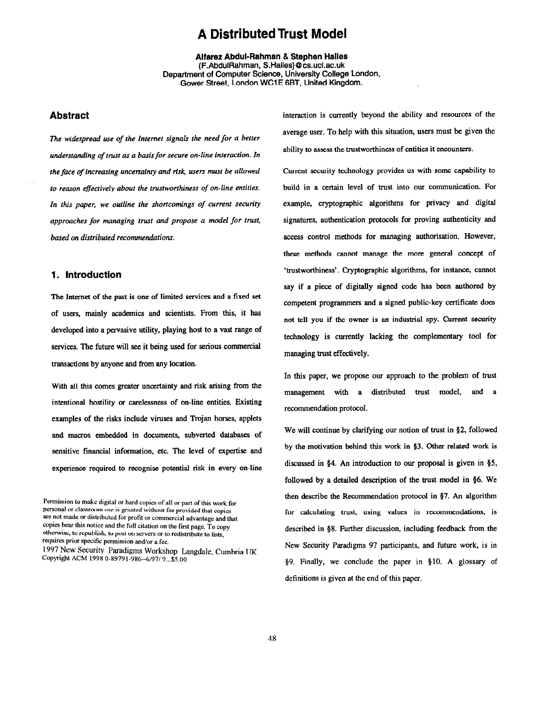# A Distributed Trust Model

Aifarez Abdui-Rahman & Stephen Hailes (FAbduiRahman, S.Hailes}@cs.ucl.ac.uk Department of Computer Science, University College London, Gower Street. London WC1 E 6BT, United Kingdom.

## Abstract

The widespread use of the Internet signals the need for a better understanding of trust as a basis for secure on-line interaction. In the face of increasing uncertainty and risk, users must be allowed to reason effectively about the trustworthiness of on-line entities. In this paper, we outline the shortcomings of current security approaches for managing trust and propose a model for trust, based on distributed recommendations.

### 1. Introduction

The Internet of the past is one of limited services and a fixed set of users, mainly academics and scientists. From this, it has developed into a pervasive utility, playing host to a vast range of services. The future will see it being used for serious commercial transactions by anyone and from any location.

With all this comes greater uncertainty and risk arising from the intentional hostility or carelessness of on-line entities. Existing examples of the risks include viruses and Trojan horses, applets and macros embedded in documents, subverted databases of sensitive financial information, etc. The level of expertise and experience required to recognise potential risk in every on-line

Permission to make digital or hard copies of all or part of this work for personal or classroom use is granted without fee provided that copies are not made or distrihutcd for protit or commercial advantage and that copies bear this notice and the full citation on the first page. To copy otherwise, to republish, to post on servers or to redistribute to lists, requires prior specific permission and/or a fee. 1997 New Security Paradigms Workshop Langdale, Cumbria UK Copyright ACM 1998 0-89791-986--6/97/ 9...\$5.00

interaction is currently beyond the ability and resources of the average user. To help with this situation, users must be given the ability to assess the trustworthiness of entities it encounters.

Current security technology provides us with some capability to build in a certain level of trust into our communication. For example, cryptographic algorithms for privacy and digital signatures, authentication protocols for proving authenticity and access control methods for managing authorisation. However, these methods cannot manage the more general concept of 'trustworthiness'. Cryptographic algorithms, for instance, cannot say if a piece of digitally signed code has been authored by competent programmers and a signed public-key certificate does not tell you if the owner is an industrial spy, Current security technology is cunently lacking the complementary tool for managing trust effectively.

In this paper, we propose our approach to the problem of trust management with a distributed trust model, and a recommendation protocol.

We will continue by clarifying our notion of trust in §2, followed by the motivation behind this work in §3. Other related work is discussed in 54. An introduction to our proposal is given in \$5, followed by a detailed description of the trust model in \$6. We then describe the Recommendation protocol in 97. An algorithm for calculating trust, using values in recommendations, is described in 38. Further discussion, including feedback from the New Security Paradigms 97 participants, and future work, is in \$9. Finally, we conclude the paper in \$10. A glossary of definitions is given at the end of this paper.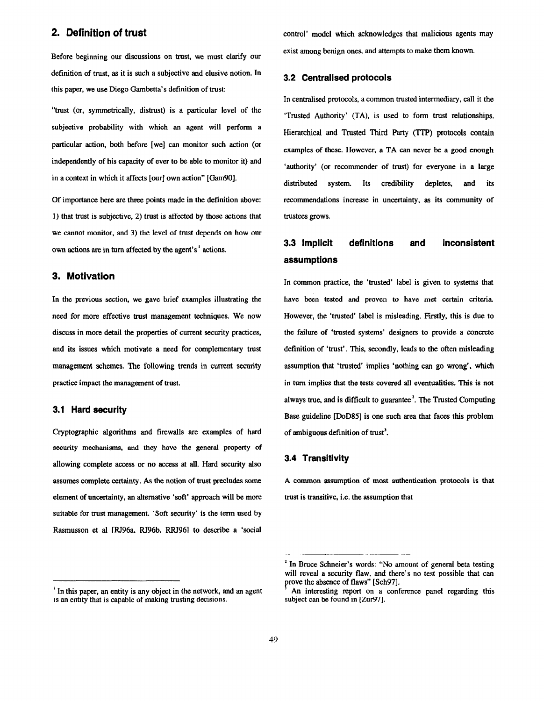Before beginning our discussions on trust, we must clarify our definition of trust, as it is such a subjective and elusive notion. In this paper, we use Diego Gambetta's definition of trust:

"trust (or, symmetrically, distrust) is a particular level of the subjective probability with which an agent will perform a particular action, both before [we] can monitor such action (or independently of his capacity of ever to be able to monitor it) and in a context in which it affects [our] own action" [Gam90].

Gf importance here are three points made in the definition above: 1) that trust is subjective, 2) trust is affected by those actions that we cannot monitor, and 3) the level of trust depends on how our own actions are in turn affected by the agent's ' actions.

## 3. Motivation

In the previous section, we gave brief examples illustrating the need for more effective trust management techniques. We now discuss in more detail the properties of current security practices, and its issues which motivate a need for complementary trust management schemes. The following trends in current security practice impact the management of trust.

#### 3.1 Hard security

Cryptographic algorithms and firewalls are examples of hard security mechanisms, and they have the general property of allowing complete access or no access at all. Hard security also assumes complete certainty. As the notion of trust precludes some element of uncertainty, an alternative 'soft' approach will be more suitable for trust management. 'Soft security' is the term used by Rasmusson et al [RJ96a, RJ96b, RRJ96] to describe a 'social

2. Definition of trust control' model which acknowledges that malicious agents may exist among benign ones, and attempts to make them known.

#### 3.2 Centralised protocols

In centralised protocols, a common trusted intermediary, call it the 'Trusted Authority' (TA), is used to form trust relationships. Hierarchical and Trusted Third Party (TTP) protocols contain examples of these. However, a TA can never be a good enough 'authority' (or recommender of trust) for everyone in a large distributed system. Its credibility depletes, and its recommendations increase in uncertainty, as its community of trustees grows.

# 3.3 Implicit definitions and inconsistent assumptions

In common practice, the 'trusted' label is given to systems that have been tested and proven to have met certain criteria. However, the 'trusted' label is misleading. Firstly, this is due to the failure of 'trusted systems' designers to provide a concrete definition of 'trust'. This, secondly, leads to the often misleading assumption that 'trusted' implies 'nothing can go wrong', which in turn implies that the tests covered all eventualities, This is not always true, and is difficult to guarantee<sup>2</sup>. The Trusted Computing Base guideline [DoD85] is one such area that faces this problem of ambiguous definition of trust'.

#### 3.4 Transitivity

A common assumption of most authentication protocols is that trust is transitive, i.e. the assumption that

<sup>&</sup>lt;sup>1</sup> In this paper, an entity is any object in the network, and an agent is an entity that is capable of making trusting decisions.

 $<sup>2</sup>$  In Bruce Schneier's words: "No amount of general beta testing</sup> will reveal a security flaw, and there's no test possible that can prove the absence of flaws" [Sch97].

An interesting report on a conference panel regarding this subject can be found in [Zur97].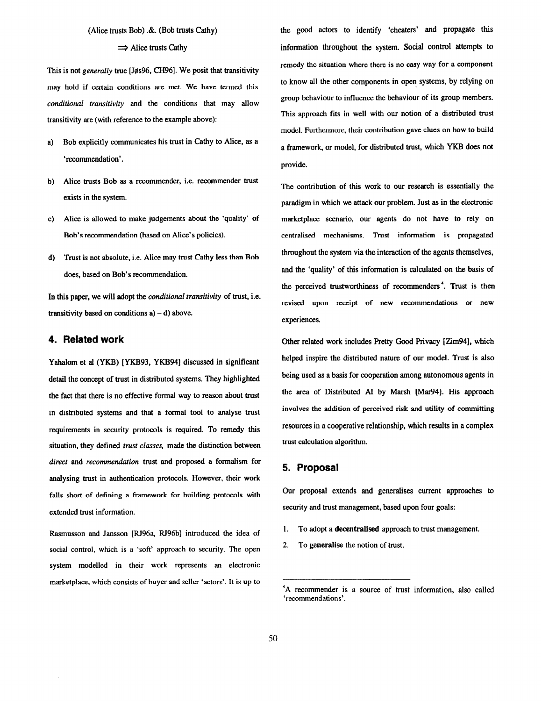### (Alice trusts Bob) . $\&$ . (Bob trusts Cathy)

#### $\Rightarrow$  Alice trusts Cathy

This is not generally true [Jøs96, CH96]. We posit that transitivity may hold if certain conditions are met. We have termed this conditional transitivity and the conditions that may allow transitivity are (with reference to the example above):

- a) Bob explicitly communicates his trust in Cathy to Alice, as a 'recommendation'.
- b) Alice trusts Bob as a recommender, i.e. recommender trust exists in the system.
- c) Alice is allowed to make judgements about the 'quality' of Bob's recommendation (based on Alice's policies).
- d) Trust is not absolute, i.e. Alice may trust Cathy less than Bob does, based on Bob's recommendation.

In this paper, we will adopt the *conditional transitivity* of trust, i.e. transitivity based on conditions  $a$ )  $-d$ ) above.

## 4. Related work

Yahalom et al (YKB) [YKB93, YKB94] discussed in significant detail the concept of trust in distributed systems. They highlighted the fact that there is no effective formal way to reason about trust in distributed systems and that a formal tool to analyse trust requirements in security protocols is required. To remedy this situation, they defined trust classes, made the distinction between direct and recommendation trust and proposed a formalism for analysing trust in authentication protocols. However, their work falls short of defining a framework for building protocols with extended trust information.

Rasmusson and Jansson [RJ96a, RJ96b] introduced the idea of social control, which is a 'soft' approach to security. The open system modelled in their work represents an electronic marketplace, which consists of buyer and seller 'actors'. It is up to

the good actors to identify 'cheaters' and propagate this information throughout the system. Social control attempts to remedy the situation where there is no easy way for a component to know all the other components in open systems, by relying on group behaviour to influence the behaviour of its group members-This approach fits in well with our notion of a distributed trust model. Furthermore, their contribution gave clues on how to build a framework, or model, for distributed trust, which YKB does not provide.

The contribution of this work to our research is essentially the paradigm in which we attack our problem. Just as in the electronic marketplace scenario, our agents do not have to rely on centralised mechanisms. Trust information is propagated throughout the system via the interaction of the agents themselves, and the 'quality' of this information is calculated on the basis of the perceived trustworthiness of recommenders'. Trust is then revised upon receipt of new recommendations or new experiences.

Other related work includes Pretty Good Privacy [Zim94], which helped inspire the distributed nature of our model. Trust is also being used as a basis for cooperation among autonomous agents in the area of Distributed AI by Marsh [Mar94]. His approach involves the addition of perceived risk and utility of committing resources in a cooperative relationship, which results in a complex trust calculation algorithm.

## 5. Proposal

Our proposal extends and generalises current approaches to security and trust management, based upon four goals:

- I. To adopt a decentrallsed approach to trust management.
- 2. To generalise the notion of trust.

<sup>&#</sup>x27;A recommender is a source of trust information, also called 'recommendations'.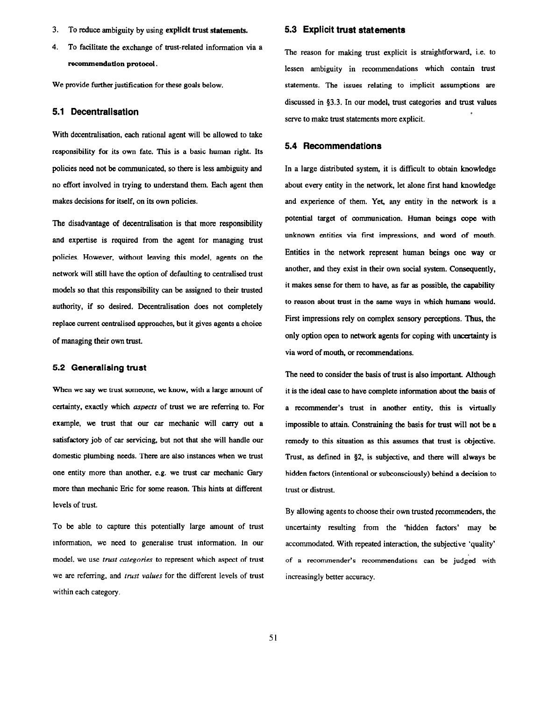- 3. To reduce ambiguity by using explidt trust statements.
- 4. To facilitate the exchange of trust-related information via a recommendation protocol.

We provide further justification for these goals below.

#### 5.1 Decentrallsation

With decentralisation, each rational agent will be allowed to take responsibility for its own fate. This is a basic human right. Its policies need not be communicated, so there is less ambiguity and no effort involved in trying to understand them. Each agent then makes decisions for itself, on its own policies.

The disadvantage of decentralisation is that more responsibility and expertise is required from the agent for managing trust policies. However, without leaving this model, agents on the network will still have the option of defaulting to centralised trust models so that this responsibility can be assigned to their trusted authority, if so desired. Decentralisation does not completely replace current centralised approaches, but it gives agents a choice of managing their own trust.

#### 5.2 Generalising trust

When we say we trust someone, we know, with a large amount of certainty, exactly which *aspects* of trust we are referring to. For example, we trust that our car mechanic will carry out a satisfactory job of car servicing, but not that she will handle our domestic plumbing needs. There are also instances when we trust one entity more than another, e.g. we trust car mechanic Gary more than mechanic Eric for some reason. This hints at different levels of trust.

To be able to capture this potentially large amount of trust information, we need to generalise trust information. In our model, we use trust categories to represent which aspect of trust we are referring, and *trust values* for the different levels of trust within each category.

## 5.3 Explicit trust statements

The reason for making trust explicit is straightforward, i.e. to lessen ambiguity in recommendations which contain trust statements. The issues relating to implicit assumptions are discussed in \$3.3. In our model, trust categories and trust values serve to make trust statements more explicit,

#### 5.4 Recommendations

In a large distributed system, it is difficult to obtain knowledge about every entity in the network, let alone first hand knowledge and experience of them. Yet, any entity in the network is a potential target of communication. Human beings cope with unknown entities via first impressions, and word of mouth. Entities in the network represent human beings one way or another, and they exist in their own social system. Consequently, it makes sense for them to have, as far as possible, the capability to reason about trust in the same ways in which humans would. First impressions rely on complex sensory perceptions. Thus, the only option open to network agents for coping with uncertainty is via word of mouth, or recommendations.

The need to consider the basis of trust is also important. Although it is the ideal case to have complete information about tbe basis of a recommender's trust in another entity, this is virtually impossible to attain. Constraining the basis for trust will not be a remedy to this situation as this assumes that trust is objective. Trust, as defined in 92, is subjective, and there will always be hidden factors (intentional or subconsciously) behind a decision to trust or distrust.

By allowing agents to choose their own trusted recommenders, the uncertainty resulting from the 'hidden factors' may be accommodated. With repeated interaction, the subjective 'quality' of a recommender's recommendations can be judged with increasingly better accuracy.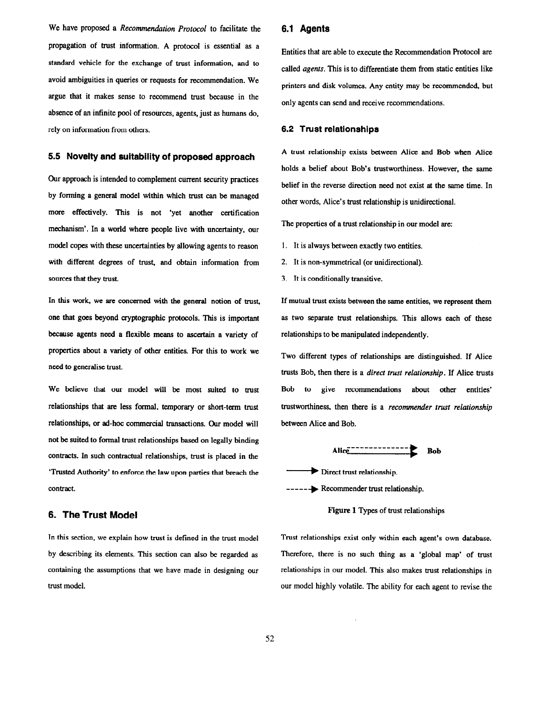We have proposed a Recommendation Protocol to facilitate the propagation of trust information. A protocol is essential as a standard vehicle for the exchange of trust information, and to avoid ambiguities in queries or requests for recommendation. We argue that it makes sense to recommend trust because in the absence of an infinite pool of resources, agents, just as humans do, rely on information from others.

## 5.5 Novelty and suitability of proposed approach

Our approach is intended to complement current security practices by forming a general model within which trust can be managed more effectively. This is not 'yet another certification mechanism'. In a world where people live with uncertainty, our model copes with these uncertainties by allowing agents to reason with different degrees of trust, and obtain information from sources that they trust.

In this work, we are concerned with the general notion of trust, one that goes beyond cryptographic protocols. This is important because agents need a flexible means to ascertain a variety of properties about a variety of other entities. For this to work we need to generalise trust.

We believe that our model will be most suited to trust relationships that are less formal, temporary or short-term trust relationships, or ad-hoc commercial transactions. Our model will not be suited to formal trust relationships based on legally binding contracts. In such contractual relationships, trust is placed in the 'Trusted Authority' to enforce the law upon parties that breach the contract.

## 6. The Trust Model

In this section, we explain how trust is defined in the trust model by describing its elements. This section can also be regarded as containing the assumptions that we have made in designing our trust model.

## 6.1 Agents

Entities that are able to execute the Recommendation Protocol are called agents. This is to differentiate them from static entities like printers and disk volumes. Any entity may be recommended, but only agents can send and receive recommendations.

#### 6.2 Trust relationships

A trust relationship exists between Alice and Bob when Alice holds a belief about Bob's trustworthiness. However, the same belief in the reverse direction need not exist at the same time. In other words, Alice's trust relationship is unidirectional.

The properties of a trust relationship in our model are:

- 1. It is always between exactly two entities.
- 2. It is non-symmetrical (or unidirectional).
- 3. It is conditionally transitive.

If mutual trust exists between the same entities, we represent them as two separate trust relationships. This allows each of these relationships to be manipulated independently.

Two different types of relationships are distinguished. If Alice trusts Bob, then there is a direct trust relationship. If Alice trusts Bob to give recommendations about other entities' trustworthiness, then there is a recommender trust relationship between Alice and Bob.



------ Recommender trust relationship.

Figure 1 Types of trust relationships

Trust relationships exist only within each agent's own database. Therefore, there is no such thing as a 'global map' of trust relationships in our model. This also makes trust relationships in our model highly volatile. The ability for each agent to revise the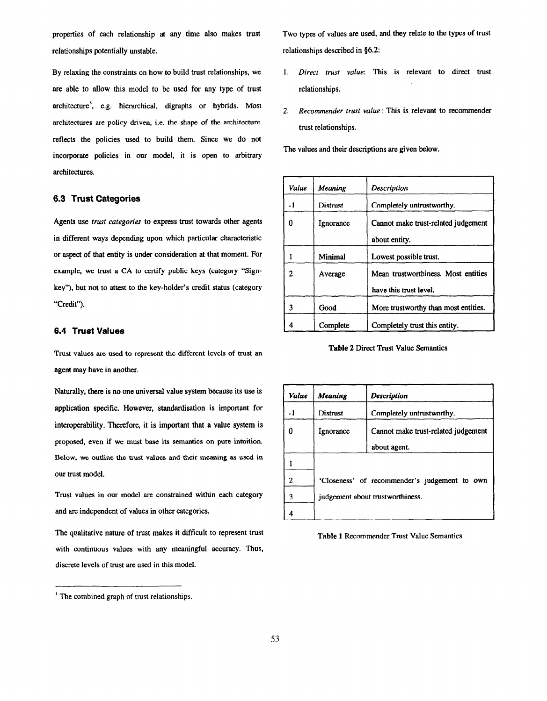properties of each relationship at any time also makes trust relationships potentially unstable.

By relaxing the constraints on how to build trust relationships, we are able to allow this model to be used for any type of trust architecture', e.g. hierarchical, digraphs or hybrids. Most architectures are policy driven, i.e. the shape of the architecture reflects the policies used to build them. Since we do not incorporate policies in our model, it is open to arbitrary architectures.

## 6.3 Trust Categories

Agents use trust categories to express trust towards other agents in different ways depending upon which particular characteristic or aspect of that entity is under consideration at that moment. For example, we trust a CA to certify public keys (category "Signkey"), but not to attest to the key-holder's credit status (category "Credit").

## 6.4 Trust Values

Trust values are used to represent the different levels of trust an agent may have in another.

Naturally, there is no one universal value system because its use is application specific. However, standardisation is important for interoperability. Therefore, it is important that a value system is proposed, even if we must base its semantics on pure intuition. Below, we outline the trust values and their meaning as used in our trust model.

Trust values in our model are constrained within each category and are independent of values in other categories.

The qualitative nature of trust makes it difficult to represent trust with continuous values with any meaningful accuracy. Thus, discrete levels of trust are used in this model.

Two types of values are used, and they relate to the types of trust relationships described in \$6.2:

- 1. Direct trust value: This is relevant to direct trust relationships.
- 2. Recommender trust value: This is relevant to recommender trust relationships.

The values and their descriptions are given below.

| Value | Meaning   | Description                                                   |
|-------|-----------|---------------------------------------------------------------|
| -1    | Distrust  | Completely untrustworthy.                                     |
| 0     | Ignorance | Cannot make trust-related judgement<br>about entity.          |
|       | Minimal   | Lowest possible trust.                                        |
| 2     | Average   | Mean trustworthiness. Most entities<br>have this trust level. |
| 3     | Good      | More trustworthy than most entities.                          |
|       | Complete  | Completely trust this entity.                                 |

Table 2 Direct Trust Value Semantics

| Value | Meaning                                       | <b>Description</b>                  |
|-------|-----------------------------------------------|-------------------------------------|
|       | Distrust                                      | Completely untrustworthy.           |
|       | Ignorance                                     | Cannot make trust-related judgement |
|       |                                               | about agent.                        |
|       |                                               |                                     |
| 2     | 'Closeness' of recommender's judgement to own |                                     |
| 3     | judgement about trustworthiness.              |                                     |
|       |                                               |                                     |



<sup>&#</sup>x27; The combined graph of trust relationships.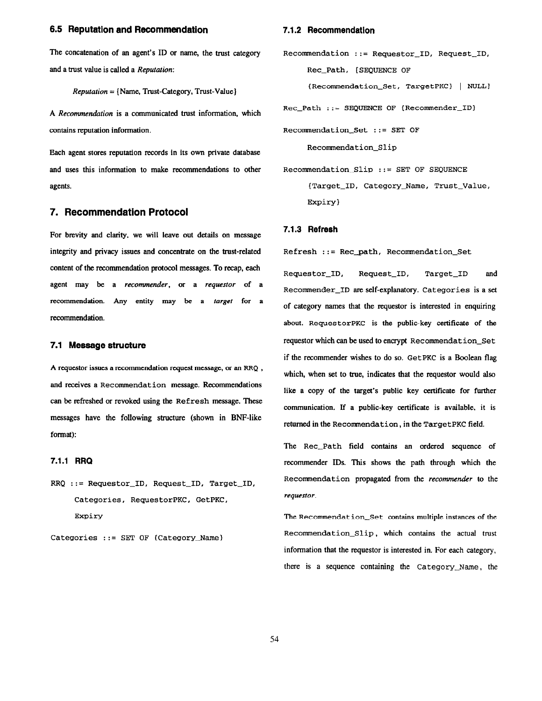## 6.5 Reputation and Recommendation

The concatenation of an agent's ID or name, the trust category and a trust value is called a Reputation:

Reputation = (Name, Trust-Category, Trust-Value)

A Recommendation is a communicated trust information, which contains reputation information.

Each agent stores reputation records in its own private database and uses this information to make recommendations to other agents.

## 7. Recommendation Protocol

For brevity and clarity, we will leave out details on message integrity and privacy issues and concentrate on the trust-related content of the recommendation protocol messages. To recap, each agent may be a recommender, or a requestor of a recommendation. Any entity may be a target for a recommendation.

#### 7.1 Message structure

A requestor issues a recommendation request message, or an RRQ , and receives a Recommendation message. Recommendations can be refreshed or revoked using the Refresh message. These messages have the following structure (shown in BNF-like format):

#### 7.1.1 RRQ

RRQ ::= Requestor\_ID, Request\_ID, Target\_ID, Categories, RequestorPKC, GetPKC, Expiry

Categories ::= SET OF (Category-Name)

#### 7.1.2 Recommendation

Recommendation ::= Requestor\_ID, Request\_ID, Rec\_Path, [SEQUENCE OF

(Recommendation\_Set, TargetPKC) | NULL]

 $Rec$  Path ::= SEQUENCE OF {Recommender ID}

Recommendation-Set ::= SET OF

Recomendation-Slip

 $Recommendation$  Slip ::= SET OF SEQUENCE (Target-ID, Category-Name, Trust-Value, Expiry)

#### 7.1.3 Refresh

Refresh ::= Rec\_path, Recommendation\_Set

Requestor\_ID, Request\_ID, Target\_ID and Recommender\_ID are self-explanatory. Categories is a set of category names that the requestor is interested in enquiring about. RequestorPKC is the public-key certificate of the requestor which can be used to encrypt Recommendat ion-Set if the recommender wishes to do so. GetPKC is a Boolean flag which, when set to true, indicates that the requestor would also like a copy of the target's public key certificate for further communication. If a public-key certificate is available, it is returned in the Recommendation, in the TargetPKC field.

The Rec\_Path field contains an ordered sequence of recommender IDS. This shows the path through which the Recommendation propagated from the recommender to the requestor.

The Recommendation-Set contains multiple instances of the Recommendation-Slip, which contains the actual trust information that the requestor is interested in. For each category, there is a sequence containing the Category\_Name, the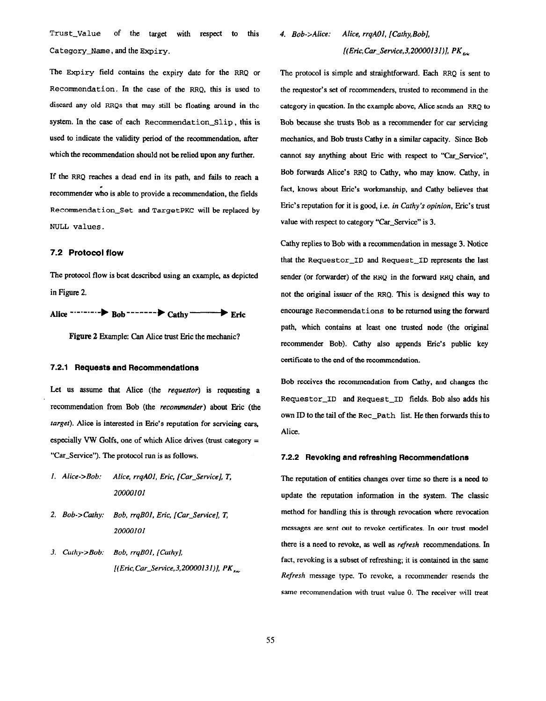Trust-value of the target with respect to this Category\_Name, and the Expiry.

The Expiry field contains the expiry date for the RRQ or Recommendation. In the case of the RRQ, this is used to discard any old RRQs that may still be floating around in the system. In the case of each Recommendation-Slip, this is used to indicate the validity period of the recommendation, after which the recommendation should not be relied upon any further.

If the RRQ reaches a dead end in its path, and fails to reach a recommender who is able to provide a recommendation, the fields Recommendation-Set and TargetPKC will be replaced by NULL values.

#### 7.2 Protocol flow

The protocol flow is best described using an example, as depicted in Figure 2.

Alice  $\cdots$  -------  $\triangleright$  Bob --------  $\triangleright$  Cathy  $\longrightarrow$  Eric

Figure 2 Example: Can Alice trust Eric the mechanic?

#### 7.2.1 Requests and Recommendations

Let us assume that Alice (the *requestor*) is requesting a recommendation from Bob (the recommender) about Eric (the target). Alice is interested in Eric's reputation for servicing cars, especially VW Golfs, one of which Alice drives (trust category = "Car\_Service"). The protocol run is as follows.

- 1. Alice->Bob: Alice, rrqAO1, Eric, [Car-Service], T, 20000101
- 2. Bob->Cathy: Bob, rrqBO1, Eric, [Car-Service], T, 20000101
- 3. Cathy->Bob: Bob, rrqBO1, [Cathy], [(Eric, Car\_Service, 3, 20000131)],  $PK_{\kappa_{\text{tr}}}$

4. Bob->Alice: Alice, rrqAO1, [Cathy, Bob],  $[(Eric, Car\_Service, 3,20000131)]$ , PK,

The protocol is simple and straightforward. Each RRQ is sent to the requestor's set of recommenders, trusted to recommend in the category in question. In the example above, Alice sends an RRQ to Bob because she trusts Bob as a recommender for car servicing mechanics, and Bob trusts Cathy in a similar capacity. Since Bob cannot say anything about Eric with respect to "Car\_Service", Bob forwards Alice's RRQ to Cathy, who may know. Cathy, in fact, knows about Eric's workmanship, and Cathy believes that Eric's reputation for it is good, i.e. in Cathy's opinion, Eric's trust value with respect to category "Car\_Service" is 3.

Cathy replies to Bob with a recommendation in message 3. Notice that the Requestor\_ID and Request\_ID represents the last sender (or forwarder) of the RRQ in the forward RRQ chain, and not the original issuer of the RRQ. This is designed this way to encourage Recommendations to be retnrned using the forward path, which contains at least one trusted node (the original recommender Bob). Cathy also appends Eric's public key certificate to the end of the recommendation.

Bob receives the recommendation from Cathy, and changes the Requestor\_ID and Request\_ID fields. Bob also adds his own ID to the tail of the Rec\_Path list. He then forwards this to Alice.

#### 7.2.2 Revoking and refreshing Recommendations

The reputation of entities changes over time so there is a need to update the reputation information in the system. The classic method for handling this is through revocation where revocation messages are sent out to revoke certificates. In our trust model there is a need to revoke, as well as refresh recommendations. In fact, revoking is a subset of refreshing; it is contained in the same Refresh message type. To revoke, a recommender resends the same recommendation with trust value 0. The receiver will treat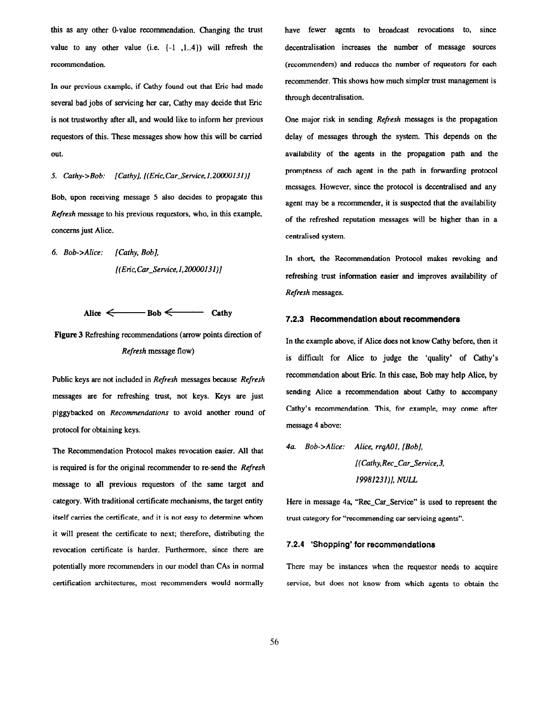this as any other O-value recommendation. Changing the trust value to any other value (i.e. (-1 ,1..4)) will refresh the recommendation.

In our previous example, if Cathy found out that Eric had made several bad jobs of servicing her car, Cathy may decide that Eric is not trustworthy after all, and would like to inform her previous requestors of this. These messages show how this will be carried out.

5. Cathy->Bob:  $[Cathy]$ ,  $[(Eric, Car_Service, 1, 20000131)]$ 

Bob, upon receiving message 5 also decides to propagate this Refresh message to his previous requestors, who, in this example, concerns just Alice.

6. Bob->Alice: [Cathy, Bob], [(En'c,Car-Service, 1,20000131)]

$$
Alice \leftarrow \text{Bob} \leftarrow \text{Cathy}
$$

Figure 3 Refreshing recommendations (arrow points direction of Refresh message flow)

Public keys are not included in Refresh messages because Refresh messages are for refreshing trust, not keys. Keys are just piggybacked on Recommendations to avoid another round of protocol for obtaining keys.

The Recommendation Protocol makes revocation easier. All that is required is for the original recommender to re-send the Refresh message to all previous requestors of the same target and category. With traditional certificate mechanisms, the target entity itself carries the certificate, and it is not easy to determine whom it will present the certificate to next; therefore, distributing the revocation certificate is harder. Furthermore, since there are potentially more recommenders in our model than CAs in normal certification architectures, most recommenders would normally

have fewer agents to broadcast revocations to, since decentralisation increases the number of message sources (recommenders) and reduces the number of requestors for each recommender. This shows how much simpler trust management is through decentralisation.

One major risk in sending Refresh messages is the propagation delay of messages through the system. This depends on the availability of the agents in the propagation path and the promptness of each agent in the path in forwarding protocol messages. However, since the protocol is decentralised and any agent may bc a recommender, it is suspected that the availability of the refreshed reputation messages will be higher than in a centralised system.

In short, the Recommendation Protocol makes revoking and refreshing trust information easier and improves availability of Refresh messages.

#### 7.2.3 Recommendation about recommenders

In the example above, if Alice does not know Cathy before, then it is difficult for Alice to judge the 'quality' of Cathy's recommendation about Eric. In this case, Bob may help Alice, by sending Alice a recommendation about Cathy to accompany Cathy's recommendation. This, for example, may come after message 4 above:

4a. Bob->Alice: Alice, rrqAO1, [Bob], [(Cathy,Rec\_Car\_Service,3, 19981231)], NULL

Here in message 4a, "Rec<sub>-Car-Service"</sub> is used to represent the trust category for "recommending car servicing agents".

#### 7.2.4 'Shopping' for recommendations

There may be instances when the requestor needs to acquire service, but does not know from which agents to obtain the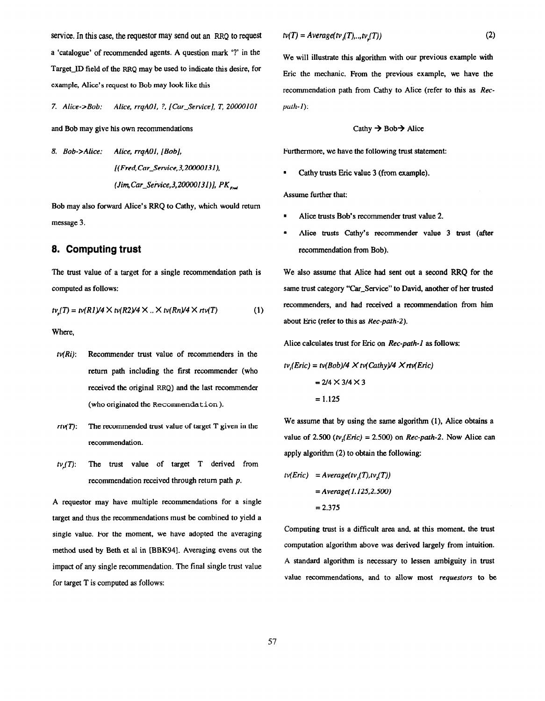service. In this case, the requestor may send out an RRQ to request a 'catalogue' of recommended agents. A question mark '?' in the Target-ID field of the RRQ may be used to indicate this desire, for example, Alice's request to Bob may look like this

7. Alice->Bob: Alice, rrqAO1. ?, [Car-Service], T, 2OooO101

and Bob may give his own recommendations

8. Bob->Alice: Alice, rrqAO1, [Bob], [(Fred, Car\_Service, 3,20000131), (Jim, Car\_Service, 3,20000131)],  $PK_{\text{frot}}$ 

Bob may also forward Alice's RRQ to Cathy, which would return message 3.

## 8. Computing trust

The trust value of a target for a single recommendation path is computed as follows:

$$
t\nu_p(T) = t\nu(R1)/4 \times t\nu(R2)/4 \times .. \times t\nu(Rn)/4 \times rt\nu(T)
$$
 (1)

Where,

- $tv(Ri)$ : Recommender trust value of recommenders in the return path including the first recommender (who received the original RRQ) and the last recommender (who originated the Recommendation).
- $rtv(T)$ : The recommended trust value of target T given in the recommendation.
- $tv_n(T)$ : The trust value of target T derived from recommendation received through return path p.

A requestor may have multiple recommendations for a single target and thus the recommendations must be combined to yield a single value. For the moment, we have adopted the averaging method used by Beth et al in [BBK94]. Averaging evens out the impact of any single recommendation. The final single trust value for target T is computed as follows:

$$
tv(T) = Average(tv_j(T),..,tv_j(T))
$$

We will illustrate this algorithm with our previous example with Eric the mechanic. From the previous example, we have the recommendation path from Cathy to Alice (refer to this as Recpath-l):

Cathy 
$$
\rightarrow
$$
 Bob  $\rightarrow$  Alice

Furthermore, we have the following trust statement:

. Cathy trusts Eric value 3 (from example).

Assume further that:

- . Alice trusts Bob's recommender trust value 2.
- . Alice trusts Cathy's recommender value 3 trust (after recommendation from Bob).

We also assume that Alice had sent out a second RRQ for the same trust category "Car\_Service" to David, another of her trusted recommenders, and had received a recommendation from him about Eric (refer to this as Rec-path-2).

Alice calculates trust for Eric on Rec-path-1 as follows:

$$
tvi(Eric) = tv(Bob)/4 × tv(Cathy)/4 × rtv(Eric)
$$

$$
= 2/4 × 3/4 × 3
$$

$$
= 1.125
$$

We assume that by using the same algorithm (1), Alice obtains a value of 2.500 (tv,(Eric) = 2.500) on Rec-path-2. Now Alice can apply algorithm (2) to obtain the following:

$$
tv(Eric) = Average(tv1(T), tv2(T))
$$

$$
= Average(1.125, 2.500)
$$

$$
= 2.375
$$

Computing trust is a difficult area and, at this moment, the trust computation algorithm above was derived largely from intuition. A standard algorithm is necessary to lessen ambiguity in trust value recommendations, and to allow most requestors to be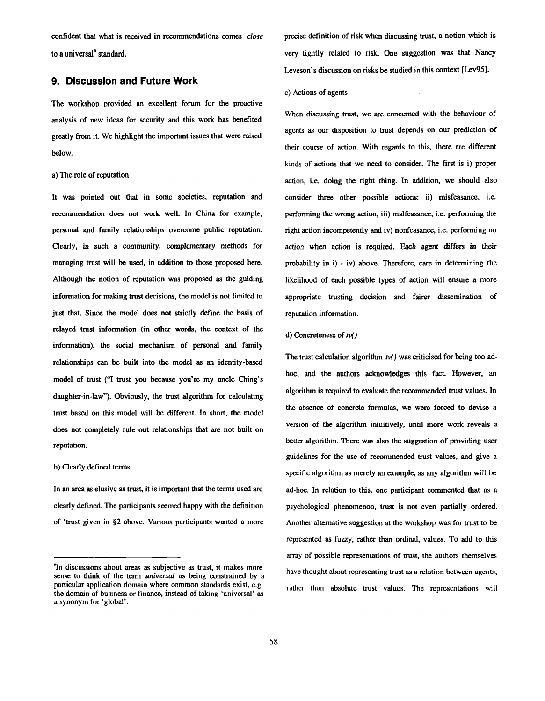confident that what is received in recommendations comes close to a universal<sup>6</sup> standard.

## 9. Discussion and Future Work

The workshop provided an excellent forum for the proactive analysis of new ideas for security and this work has benefited greatly from it. We highlight the important issues that were raised below.

#### a) The role of reputation

It was pointed out that in some societies, reputation and recommendation does not work well. In China for example, personal and family relationships overcome public reputation. Clearly, in such a community, complementary methods for managing trust will be used, in addition to those proposed here. Although the notion of reputation was proposed as the guiding information for making trust decisions, the model is not limited to just that. Since the model does not strictly define the basis of relayed trust information (in other words, the context of the information), the social mechanism of personal and family relationships can be built into the model as an identity-based model of trust ('7 trust you because you're my uncle Ching's daughter-in-law"). Obviously, the trust algorithm for calculating trust based on this model will be different. In short, the model does not completely rule out relationships that are not built on reputation.

#### b) Clearly defined terms

In an area as elusive as trust, it is important that the terms used are clearly defined. The participants seemed happy with the definition of 'trust given in \$2 above. Various participants wanted a more precise definition of risk when discussing trust, a notion which is very tightly related to risk. One suggestion was that Nancy Leveson's discussion on risks be studied in this context [Lev95].

#### c) Actions of agents

When discussing trust, we are concerned with the behaviour of agents as our disposition to trust depends on our prediction of their course of action. With regards to this, there are different kinds of actions that we need to consider. The first is i) proper action, i.e. doing the right thing. In addition, we should also consider three other possible actions: ii) misfeasance. i.e. performing the wrong action, iii) malfeasance, i.e. performing the right action incompetently and iv) nonfeasance, i.e. performing no action when action is required. Each agent differs in their probability in i) - iv) above. Therefore, care in determining the likelihood of each possible types of action will ensure a more appropriate trusting decision and fairer dissemination of reputation information.

#### d) Concreteness of  $tv()$

The trust calculation algorithm  $t\nu$ ) was criticised for being too adhoc, and the authors acknowledges this fact. However, an algorithm is required to evaluate the recommended trust values. In the absence of concrete formulas, we were forced to devise a version of the algorithm intuitively, until more work reveals a better algorithm. There was also the suggestion of providing user guidelines for the use of recommended trust values, and give a specific algorithm as merely an example, as any algorithm will be ad-hoc. In relation to this, one participant commented that as a psychological phenomenon, trust is not even partially ordered. Another alternative suggestion at the workshop was for trust to be represented as fuzzy, rather than ordinal, values. To add to this array of possible representations of trust, the authors themselves have thought about representing trust as a relation between agents, rather than absolute trust values. The representations will

fn discussions about areas as subjective as trust, it makes more sense to think of the term *universal* as being constrained by a particular application domain where common standards exist, e.g. the domain of business or finance, instead of taking 'universal' as a synonym for 'global'.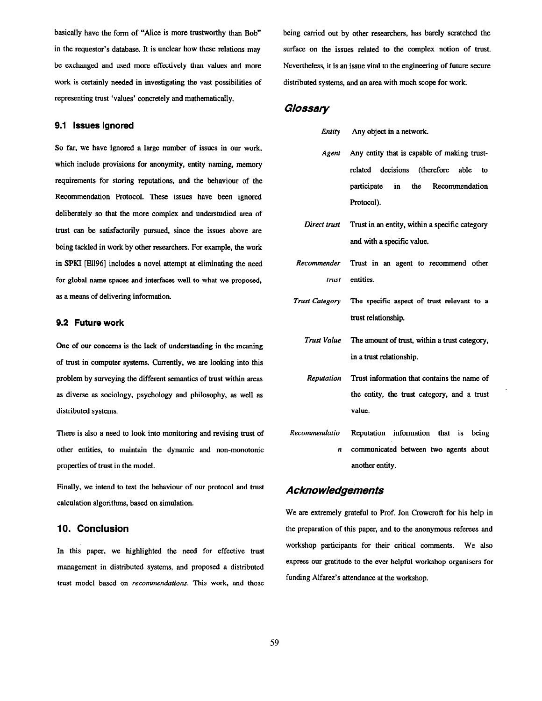basically have the form of "Alice is more trustworthy than Bob' in the requestor's database. It is unclear how these relations may be exchanged and used more effectively than values and more work is certainly needed in investigating the vast possibilities of representing trust 'values' concretely and mathematically.

#### 9.1 Issues ignored

So far, we have ignored a large number of issues in our work, which include provisions for anonymity, entity naming, memory requirements for storing reputations, and the behaviour of the Recommendation Protocol. These issues have been ignored deliberately so that the more complex and understudied area of trust can be satisfactorily pursued, since the issues above are being tackled in work by other researchers. For example, the work in SPKI [El1961 includes a novel attempt at eliminating the need for global name spaces and interfaces well to what we proposed, as a means of delivering information.

#### 9.2 Future work

One of our concerns is the lack of understanding in the meaning of trust in computer systems. Currently, we are looking into this problem by surveying the different semantics of trust within areas as diverse as sociology, psychology and philosophy, as well as distributed systems.

There is also a need to look into monitoring and revising trust of other entities, to maintain the dynamic and non-monotonic properties of trust in the model.

Finally, we intend to test the behaviour of our protocol and trust calculation algorithms, based on simulation.

## 10. Conclusion

In this paper, we highlighted the need for effective trust management in distributed systems, and proposed a distributed trust model based on recommendations. This work, and those being carried out by other researchers, has barely scratched the surface on the issues related to the complex notion of trust. Nevertheless, it is an issue vital to the engineering of future secure distributed systems, and an area with much scope for work

## **Glossary**

- Entity Any object in a network.
- Agent Any entity that is capable of making trustrelated decisions (therefore able to participate in the Recommendation Protocol).
- Direct trust Trust in an entity, within a specific category and with a specific value.
- Recommender Trust in an agent to recommend other trust entities.
- Trust Category The specific aspect of trust relevant to a trust relationship.
	- Trust Value The amount of trust, within a trust category, in a trust relationship.
	- Reputation Trust information that contains the name of the entity, the trust category, and a trust value.
- Recommendatio Reputation information that is being n communicated between two agents about another entity.

## Acknowledgements

We are extremely grateful to Prof. Jon Crowcroft for his help in the preparation of this paper, and to the anonymous referees and workshop participants for their critical comments. We also express our gratitude to the ever-helpful workshop organisers for funding Alfarez's attendance at the workshop.